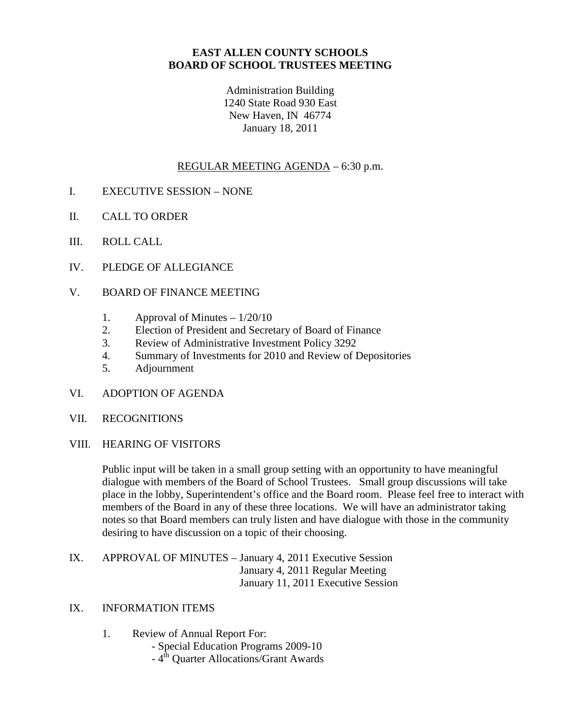### **EAST ALLEN COUNTY SCHOOLS BOARD OF SCHOOL TRUSTEES MEETING**

Administration Building 1240 State Road 930 East New Haven, IN 46774 January 18, 2011

## REGULAR MEETING AGENDA – 6:30 p.m.

- I. EXECUTIVE SESSION NONE
- II. CALL TO ORDER
- III. ROLL CALL
- IV. PLEDGE OF ALLEGIANCE
- V. BOARD OF FINANCE MEETING
	- 1. Approval of Minutes  $-1/20/10$
	- 2. Election of President and Secretary of Board of Finance
	- 3. Review of Administrative Investment Policy 3292
	- 4. Summary of Investments for 2010 and Review of Depositories
	- 5. Adjournment
- VI. ADOPTION OF AGENDA
- VII. RECOGNITIONS
- VIII. HEARING OF VISITORS

Public input will be taken in a small group setting with an opportunity to have meaningful dialogue with members of the Board of School Trustees. Small group discussions will take place in the lobby, Superintendent's office and the Board room. Please feel free to interact with members of the Board in any of these three locations. We will have an administrator taking notes so that Board members can truly listen and have dialogue with those in the community desiring to have discussion on a topic of their choosing.

IX. APPROVAL OF MINUTES – January 4, 2011 Executive Session January 4, 2011 Regular Meeting January 11, 2011 Executive Session

### IX. INFORMATION ITEMS

- 1. Review of Annual Report For:
	- Special Education Programs 2009-10
	- 4<sup>th</sup> Quarter Allocations/Grant Awards